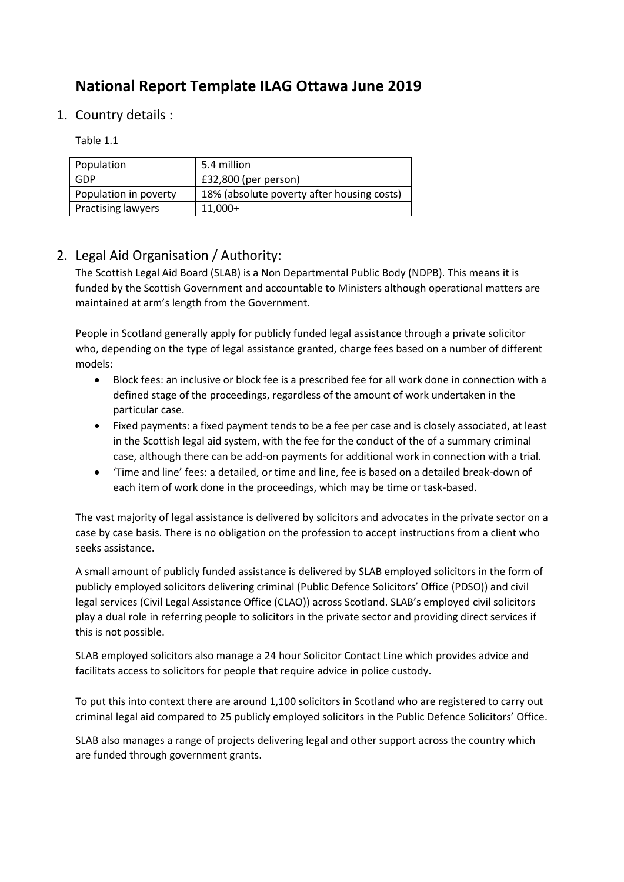# **National Report Template ILAG Ottawa June 2019**

1. Country details :

### Table 1.1

| Population                | 5.4 million                                |
|---------------------------|--------------------------------------------|
| GDP                       | £32,800 (per person)                       |
| Population in poverty     | 18% (absolute poverty after housing costs) |
| <b>Practising lawyers</b> | $11,000+$                                  |

# 2. Legal Aid Organisation / Authority:

The Scottish Legal Aid Board (SLAB) is a Non Departmental Public Body (NDPB). This means it is funded by the Scottish Government and accountable to Ministers although operational matters are maintained at arm's length from the Government.

People in Scotland generally apply for publicly funded legal assistance through a private solicitor who, depending on the type of legal assistance granted, charge fees based on a number of different models:

- Block fees: an inclusive or block fee is a prescribed fee for all work done in connection with a defined stage of the proceedings, regardless of the amount of work undertaken in the particular case.
- Fixed payments: a fixed payment tends to be a fee per case and is closely associated, at least in the Scottish legal aid system, with the fee for the conduct of the of a summary criminal case, although there can be add-on payments for additional work in connection with a trial.
- 'Time and line' fees: a detailed, or time and line, fee is based on a detailed break-down of each item of work done in the proceedings, which may be time or task-based.

The vast majority of legal assistance is delivered by solicitors and advocates in the private sector on a case by case basis. There is no obligation on the profession to accept instructions from a client who seeks assistance.

A small amount of publicly funded assistance is delivered by SLAB employed solicitors in the form of publicly employed solicitors delivering criminal (Public Defence Solicitors' Office (PDSO)) and civil legal services (Civil Legal Assistance Office (CLAO)) across Scotland. SLAB's employed civil solicitors play a dual role in referring people to solicitors in the private sector and providing direct services if this is not possible.

SLAB employed solicitors also manage a 24 hour Solicitor Contact Line which provides advice and facilitats access to solicitors for people that require advice in police custody.

To put this into context there are around 1,100 solicitors in Scotland who are registered to carry out criminal legal aid compared to 25 publicly employed solicitors in the Public Defence Solicitors' Office.

SLAB also manages a range of projects delivering legal and other support across the country which are funded through government grants.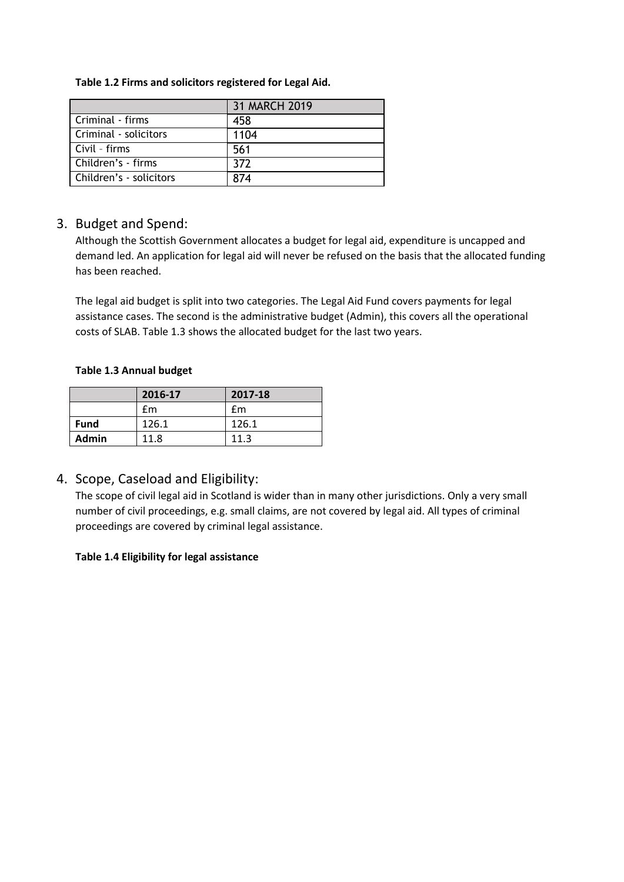#### **Table 1.2 Firms and solicitors registered for Legal Aid.**

|                         | 31 MARCH 2019 |
|-------------------------|---------------|
| Criminal - firms        | 458           |
| Criminal - solicitors   | 1104          |
| Civil - firms           | 561           |
| Children's - firms      | 372           |
| Children's - solicitors | 874           |

### 3. Budget and Spend:

Although the Scottish Government allocates a budget for legal aid, expenditure is uncapped and demand led. An application for legal aid will never be refused on the basis that the allocated funding has been reached.

The legal aid budget is split into two categories. The Legal Aid Fund covers payments for legal assistance cases. The second is the administrative budget (Admin), this covers all the operational costs of SLAB. Table 1.3 shows the allocated budget for the last two years.

#### **Table 1.3 Annual budget**

|             | 2016-17 | 2017-18 |
|-------------|---------|---------|
|             | fm      | fm      |
| <b>Fund</b> | 126.1   | 126.1   |
| Admin       | 11.8    | 11.3    |

### 4. Scope, Caseload and Eligibility:

The scope of civil legal aid in Scotland is wider than in many other jurisdictions. Only a very small number of civil proceedings, e.g. small claims, are not covered by legal aid. All types of criminal proceedings are covered by criminal legal assistance.

#### **Table 1.4 Eligibility for legal assistance**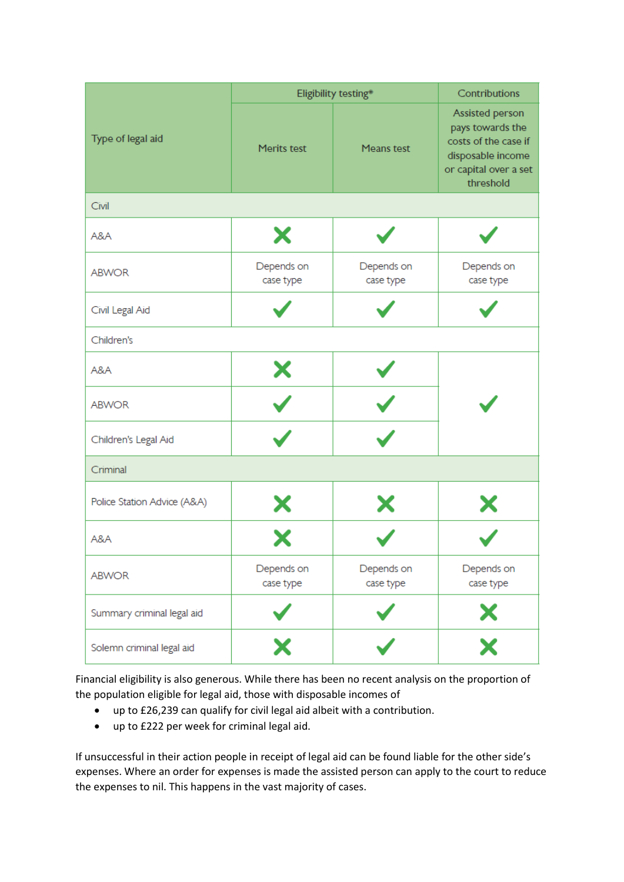|                             | Eligibility testing*      | Contributions           |                                                                                                                        |  |  |
|-----------------------------|---------------------------|-------------------------|------------------------------------------------------------------------------------------------------------------------|--|--|
| Type of legal aid           | Merits test<br>Means test |                         | Assisted person<br>pays towards the<br>costs of the case if<br>disposable income<br>or capital over a set<br>threshold |  |  |
| Civil                       |                           |                         |                                                                                                                        |  |  |
| A&A                         | Х                         |                         |                                                                                                                        |  |  |
| <b>ABWOR</b>                | Depends on<br>case type   | Depends on<br>case type | Depends on<br>case type                                                                                                |  |  |
| Civil Legal Aid             |                           |                         |                                                                                                                        |  |  |
| Children's                  |                           |                         |                                                                                                                        |  |  |
| A&A                         | Х                         |                         |                                                                                                                        |  |  |
| <b>ABWOR</b>                |                           |                         |                                                                                                                        |  |  |
| Children's Legal Aid        |                           |                         |                                                                                                                        |  |  |
| Criminal                    |                           |                         |                                                                                                                        |  |  |
| Police Station Advice (A&A) | Х<br>Х                    |                         |                                                                                                                        |  |  |
| A&A                         |                           |                         |                                                                                                                        |  |  |
| <b>ABWOR</b>                | Depends on<br>case type   | Depends on<br>case type | Depends on<br>case type                                                                                                |  |  |
| Summary criminal legal aid  |                           |                         | $\mathsf{x}$                                                                                                           |  |  |
| Solemn criminal legal aid   | X                         |                         | $\overline{\textbf{x}}$                                                                                                |  |  |

Financial eligibility is also generous. While there has been no recent analysis on the proportion of the population eligible for legal aid, those with disposable incomes of

- up to £26,239 can qualify for civil legal aid albeit with a contribution.
- up to £222 per week for criminal legal aid.

If unsuccessful in their action people in receipt of legal aid can be found liable for the other side's expenses. Where an order for expenses is made the assisted person can apply to the court to reduce the expenses to nil. This happens in the vast majority of cases.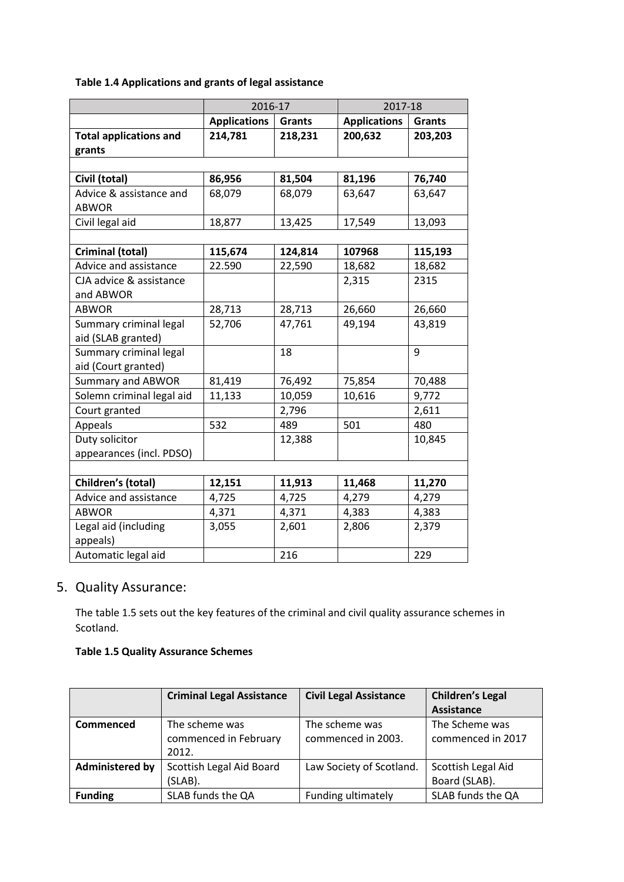### **Table 1.4 Applications and grants of legal assistance**

|                               | 2016-17                              |         | 2017-18             |               |
|-------------------------------|--------------------------------------|---------|---------------------|---------------|
|                               | <b>Applications</b><br><b>Grants</b> |         | <b>Applications</b> | <b>Grants</b> |
| <b>Total applications and</b> | 214,781                              | 218,231 | 200,632             | 203,203       |
| grants                        |                                      |         |                     |               |
|                               |                                      |         |                     |               |
| Civil (total)                 | 86,956                               | 81,504  | 81,196              | 76,740        |
| Advice & assistance and       | 68,079                               | 68,079  | 63,647              | 63,647        |
| <b>ABWOR</b>                  |                                      |         |                     |               |
| Civil legal aid               | 18,877                               | 13,425  | 17,549              | 13,093        |
|                               |                                      |         |                     |               |
| Criminal (total)              | 115,674                              | 124,814 | 107968              | 115,193       |
| Advice and assistance         | 22.590                               | 22,590  | 18,682              | 18,682        |
| CJA advice & assistance       |                                      |         | 2,315               | 2315          |
| and ABWOR                     |                                      |         |                     |               |
| <b>ABWOR</b>                  | 28,713                               | 28,713  | 26,660              | 26,660        |
| Summary criminal legal        | 52,706                               | 47,761  | 49,194              | 43,819        |
| aid (SLAB granted)            |                                      |         |                     |               |
| Summary criminal legal        |                                      | 18      |                     | 9             |
| aid (Court granted)           |                                      |         |                     |               |
| <b>Summary and ABWOR</b>      | 81,419                               | 76,492  | 75,854              | 70,488        |
| Solemn criminal legal aid     | 11,133                               | 10,059  | 10,616              | 9,772         |
| Court granted                 |                                      | 2,796   |                     | 2,611         |
| Appeals                       | 532                                  | 489     | 501                 | 480           |
| Duty solicitor                |                                      | 12,388  |                     | 10,845        |
| appearances (incl. PDSO)      |                                      |         |                     |               |
|                               |                                      |         |                     |               |
| Children's (total)            | 12,151                               | 11,913  | 11,468              | 11,270        |
| Advice and assistance         | 4,725                                | 4,725   | 4,279               | 4,279         |
| <b>ABWOR</b>                  | 4,371                                | 4,371   | 4,383               | 4,383         |
| Legal aid (including          | 3,055                                | 2,601   | 2,806               | 2,379         |
| appeals)                      |                                      |         |                     |               |
| Automatic legal aid           |                                      | 216     |                     | 229           |

# 5. Quality Assurance:

The table 1.5 sets out the key features of the criminal and civil quality assurance schemes in Scotland.

#### **Table 1.5 Quality Assurance Schemes**

|                        | <b>Criminal Legal Assistance</b> | <b>Civil Legal Assistance</b> | <b>Children's Legal</b> |
|------------------------|----------------------------------|-------------------------------|-------------------------|
|                        |                                  |                               | <b>Assistance</b>       |
| Commenced              | The scheme was                   | The scheme was                | The Scheme was          |
|                        | commenced in February            | commenced in 2003.            | commenced in 2017       |
|                        | 2012.                            |                               |                         |
| <b>Administered by</b> | Scottish Legal Aid Board         | Law Society of Scotland.      | Scottish Legal Aid      |
|                        | (SLAB).                          |                               | Board (SLAB).           |
| <b>Funding</b>         | SLAB funds the QA                | Funding ultimately            | SLAB funds the QA       |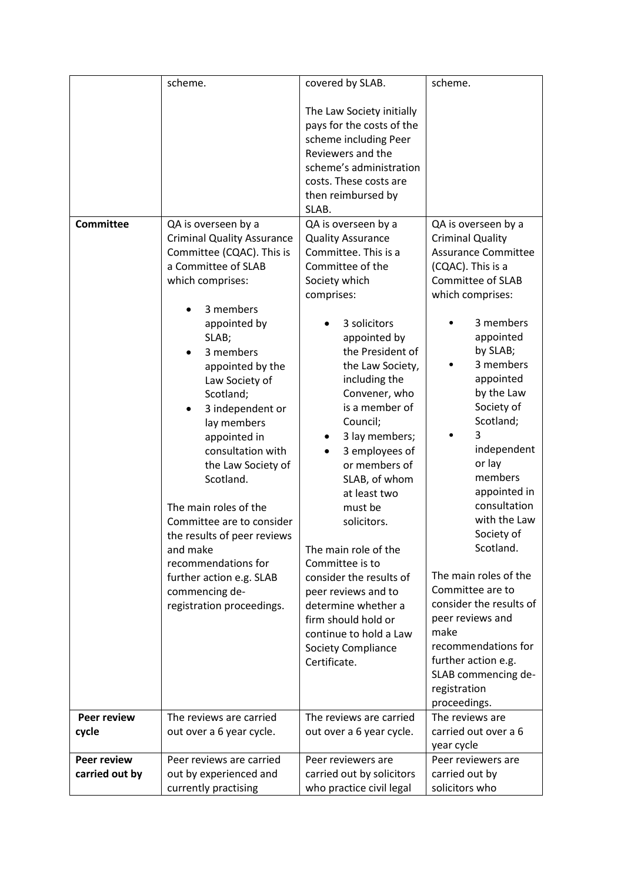|                             | scheme.                                                                                                                                                                                                                                                                                                                                                                                                                                                                              | covered by SLAB.                                                                                                                                                                                                                                                                                                                                                                                                                                                                                                              | scheme.                                                                                                                                                                                                                                                                                                                                                                                                                                                                                     |
|-----------------------------|--------------------------------------------------------------------------------------------------------------------------------------------------------------------------------------------------------------------------------------------------------------------------------------------------------------------------------------------------------------------------------------------------------------------------------------------------------------------------------------|-------------------------------------------------------------------------------------------------------------------------------------------------------------------------------------------------------------------------------------------------------------------------------------------------------------------------------------------------------------------------------------------------------------------------------------------------------------------------------------------------------------------------------|---------------------------------------------------------------------------------------------------------------------------------------------------------------------------------------------------------------------------------------------------------------------------------------------------------------------------------------------------------------------------------------------------------------------------------------------------------------------------------------------|
| <b>Committee</b>            | QA is overseen by a<br><b>Criminal Quality Assurance</b><br>Committee (CQAC). This is<br>a Committee of SLAB<br>which comprises:                                                                                                                                                                                                                                                                                                                                                     | The Law Society initially<br>pays for the costs of the<br>scheme including Peer<br>Reviewers and the<br>scheme's administration<br>costs. These costs are<br>then reimbursed by<br>SLAB.<br>QA is overseen by a<br><b>Quality Assurance</b><br>Committee. This is a<br>Committee of the<br>Society which<br>comprises:                                                                                                                                                                                                        | QA is overseen by a<br><b>Criminal Quality</b><br><b>Assurance Committee</b><br>(CQAC). This is a<br><b>Committee of SLAB</b><br>which comprises:                                                                                                                                                                                                                                                                                                                                           |
| <b>Peer review</b><br>cycle | 3 members<br>appointed by<br>SLAB;<br>3 members<br>appointed by the<br>Law Society of<br>Scotland;<br>3 independent or<br>$\bullet$<br>lay members<br>appointed in<br>consultation with<br>the Law Society of<br>Scotland.<br>The main roles of the<br>Committee are to consider<br>the results of peer reviews<br>and make<br>recommendations for<br>further action e.g. SLAB<br>commencing de-<br>registration proceedings.<br>The reviews are carried<br>out over a 6 year cycle. | 3 solicitors<br>appointed by<br>the President of<br>the Law Society,<br>including the<br>Convener, who<br>is a member of<br>Council;<br>3 lay members;<br>3 employees of<br>or members of<br>SLAB, of whom<br>at least two<br>must be<br>solicitors.<br>The main role of the<br>Committee is to<br>consider the results of<br>peer reviews and to<br>determine whether a<br>firm should hold or<br>continue to hold a Law<br><b>Society Compliance</b><br>Certificate.<br>The reviews are carried<br>out over a 6 year cycle. | 3 members<br>appointed<br>by SLAB;<br>3 members<br>appointed<br>by the Law<br>Society of<br>Scotland;<br>3<br>independent<br>or lay<br>members<br>appointed in<br>consultation<br>with the Law<br>Society of<br>Scotland.<br>The main roles of the<br>Committee are to<br>consider the results of<br>peer reviews and<br>make<br>recommendations for<br>further action e.g.<br>SLAB commencing de-<br>registration<br>proceedings.<br>The reviews are<br>carried out over a 6<br>year cycle |
| <b>Peer review</b>          | Peer reviews are carried                                                                                                                                                                                                                                                                                                                                                                                                                                                             | Peer reviewers are                                                                                                                                                                                                                                                                                                                                                                                                                                                                                                            | Peer reviewers are                                                                                                                                                                                                                                                                                                                                                                                                                                                                          |
| carried out by              | out by experienced and<br>currently practising                                                                                                                                                                                                                                                                                                                                                                                                                                       | carried out by solicitors<br>who practice civil legal                                                                                                                                                                                                                                                                                                                                                                                                                                                                         | carried out by<br>solicitors who                                                                                                                                                                                                                                                                                                                                                                                                                                                            |